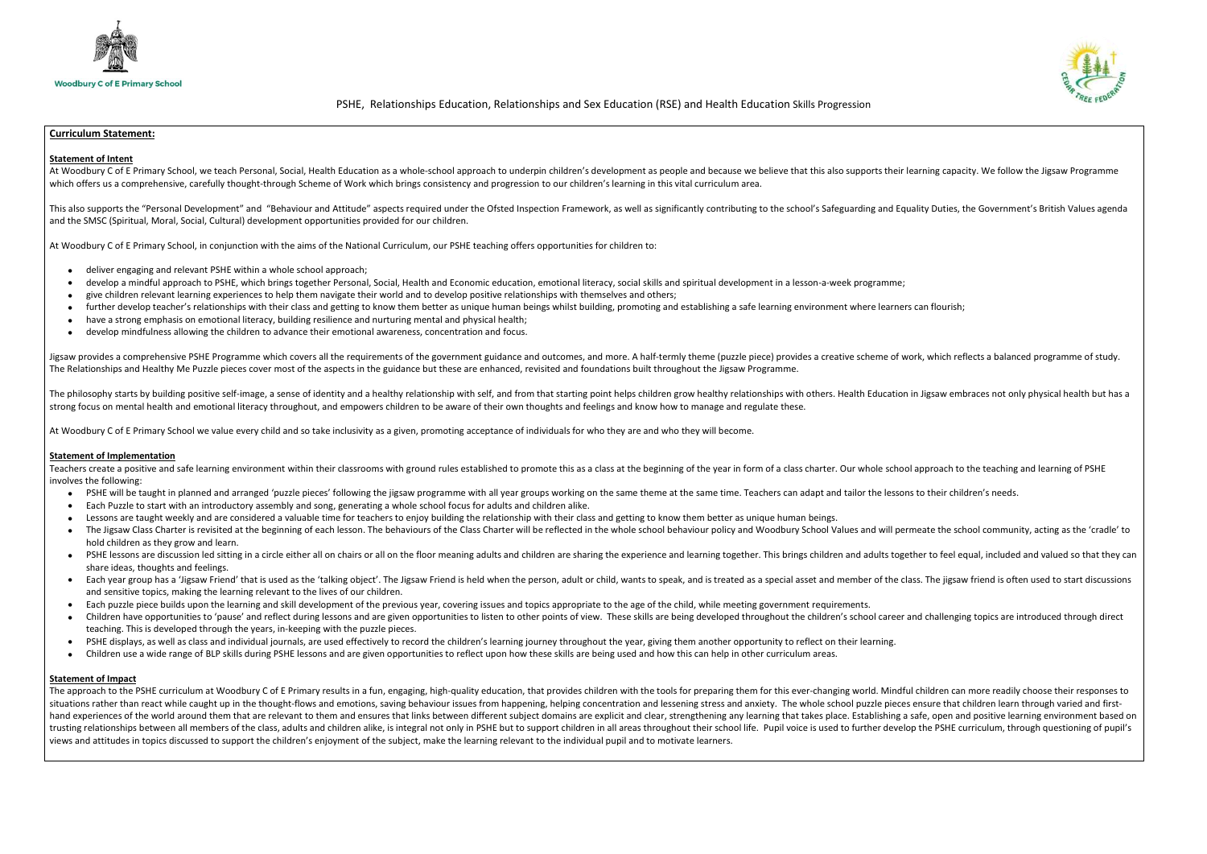

# PSHE, Relationships Education, Relationships and Sex Education (RSE) and Health Education Skills Progression

# Curriculum Statement:

## Statement of Intent

At Woodbury C of E Primary School, we teach Personal, Social, Health Education as a whole-school approach to underpin children's development as people and because we believe that this also supports their learning capacity. which offers us a comprehensive, carefully thought-through Scheme of Work which brings consistency and progression to our children's learning in this vital curriculum area.

This also supports the "Personal Development" and "Behaviour and Attitude" aspects required under the Ofsted Inspection Framework, as well as significantly contributing to the school's Safeguarding and Equality Duties, the and the SMSC (Spiritual, Moral, Social, Cultural) development opportunities provided for our children.

At Woodbury C of E Primary School, in conjunction with the aims of the National Curriculum, our PSHE teaching offers opportunities for children to:

Jigsaw provides a comprehensive PSHE Programme which covers all the requirements of the government guidance and outcomes, and more. A half-termly theme (puzzle piece) provides a creative scheme of work, which reflects a ba The Relationships and Healthy Me Puzzle pieces cover most of the aspects in the guidance but these are enhanced, revisited and foundations built throughout the Jigsaw Programme.

The philosophy starts by building positive self-image, a sense of identity and a healthy relationship with self, and from that starting point helps children grow healthy relationships with others. Health Education in Jigsa strong focus on mental health and emotional literacy throughout, and empowers children to be aware of their own thoughts and feelings and know how to manage and regulate these.

- deliver engaging and relevant PSHE within a whole school approach;
- develop a mindful approach to PSHE, which brings together Personal, Social, Health and Economic education, emotional literacy, social skills and spiritual development in a lesson-a-week programme;
- give children relevant learning experiences to help them navigate their world and to develop positive relationships with themselves and others;
- further develop teacher's relationships with their class and getting to know them better as unique human beings whilst building, promoting and establishing a safe learning environment where learners can flourish;
- have a strong emphasis on emotional literacy, building resilience and nurturing mental and physical health;
- develop mindfulness allowing the children to advance their emotional awareness, concentration and focus.

Teachers create a positive and safe learning environment within their classrooms with ground rules established to promote this as a class at the beginning of the year in form of a class charter. Our whole school approach t involves the following:

- PSHE will be taught in planned and arranged 'puzzle pieces' following the jigsaw programme with all year groups working on the same theme at the same time. Teachers can adapt and tailor the lessons to their children's n
- Each Puzzle to start with an introductory assembly and song, generating a whole school focus for adults and children alike.
- Lessons are taught weekly and are considered a valuable time for teachers to enjoy building the relationship with their class and getting to know them better as unique human beings.
- The Jigsaw Class Charter is revisited at the beginning of each lesson. The behaviours of the Class Charter will be reflected in the whole school behaviour policy and Woodbury School Values and will permeate the school co hold children as they grow and learn.
- PSHE lessons are discussion led sitting in a circle either all on chairs or all on the floor meaning adults and children are sharing the experience and learning together. This brings children and adults together to feel share ideas, thoughts and feelings.
- Each year group has a 'Jigsaw Friend' that is used as the 'talking object'. The Jigsaw Friend is held when the person, adult or child, wants to speak, and is treated as a special asset and member of the class. The jigsaw and sensitive topics, making the learning relevant to the lives of our children.
- Each puzzle piece builds upon the learning and skill development of the previous year, covering issues and topics appropriate to the age of the child, while meeting government requirements.
- Children have opportunities to 'pause' and reflect during lessons and are given opportunities to listen to other points of view. These skills are being developed throughout the children's school career and challenging to teaching. This is developed through the years, in-keeping with the puzzle pieces.
- PSHE displays, as well as class and individual journals, are used effectively to record the children's learning journey throughout the year, giving them another opportunity to reflect on their learning.
- Children use a wide range of BLP skills during PSHE lessons and are given opportunities to reflect upon how these skills are being used and how this can help in other curriculum areas.

At Woodbury C of E Primary School we value every child and so take inclusivity as a given, promoting acceptance of individuals for who they are and who they will become.

### Statement of Implementation

The approach to the PSHE curriculum at Woodbury C of E Primary results in a fun, engaging, high-quality education, that provides children with the tools for preparing them for this ever-changing world. Mindful children can situations rather than react while caught up in the thought-flows and emotions, saving behaviour issues from happening, helping concentration and lessening stress and anxiety. The whole school puzzle pieces ensure that chi hand experiences of the world around them that are relevant to them and ensures that links between different subject domains are explicit and clear, strengthening any learning that takes place. Establishing a safe, open an trusting relationships between all members of the class, adults and children alike, is integral not only in PSHE but to support children in all areas throughout their school life. Pupil voice is used to further develop the views and attitudes in topics discussed to support the children's enjoyment of the subject, make the learning relevant to the individual pupil and to motivate learners.



### Statement of Impact